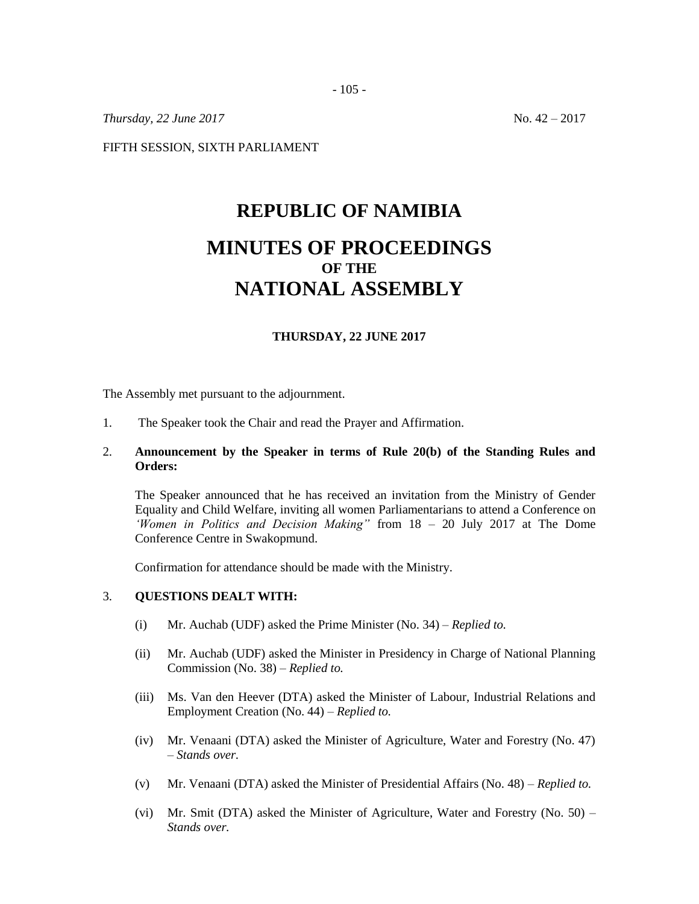- 105 -

*Thursday,* 22 *June* 2017 No. 42 – 2017

FIFTH SESSION, SIXTH PARLIAMENT

# **REPUBLIC OF NAMIBIA**

## **MINUTES OF PROCEEDINGS OF THE NATIONAL ASSEMBLY**

#### **THURSDAY, 22 JUNE 2017**

The Assembly met pursuant to the adjournment.

1. The Speaker took the Chair and read the Prayer and Affirmation.

### 2. **Announcement by the Speaker in terms of Rule 20(b) of the Standing Rules and Orders:**

The Speaker announced that he has received an invitation from the Ministry of Gender Equality and Child Welfare, inviting all women Parliamentarians to attend a Conference on *'Women in Politics and Decision Making"* from 18 – 20 July 2017 at The Dome Conference Centre in Swakopmund.

Confirmation for attendance should be made with the Ministry.

#### 3. **QUESTIONS DEALT WITH:**

- (i) Mr. Auchab (UDF) asked the Prime Minister (No. 34) *Replied to.*
- (ii) Mr. Auchab (UDF) asked the Minister in Presidency in Charge of National Planning Commission (No. 38) – *Replied to.*
- (iii) Ms. Van den Heever (DTA) asked the Minister of Labour, Industrial Relations and Employment Creation (No. 44) – *Replied to.*
- (iv) Mr. Venaani (DTA) asked the Minister of Agriculture, Water and Forestry (No. 47) – *Stands over.*
- (v) Mr. Venaani (DTA) asked the Minister of Presidential Affairs (No. 48) *Replied to.*
- (vi) Mr. Smit (DTA) asked the Minister of Agriculture, Water and Forestry (No.  $50$ ) *Stands over.*